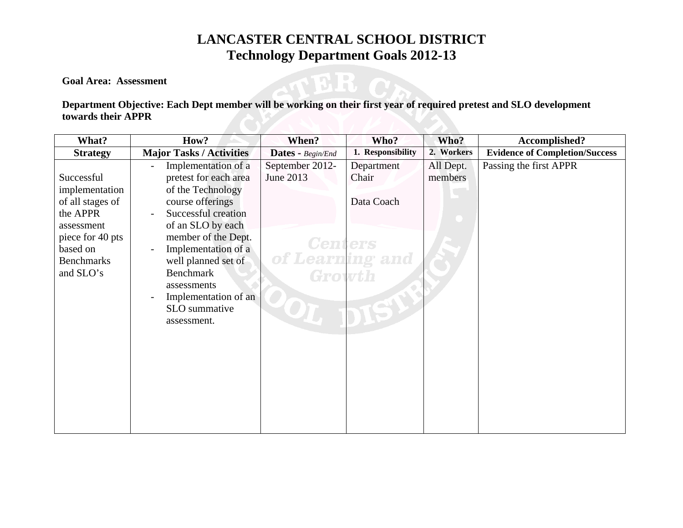**Goal Area: Assessment** 

### **Department Objective: Each Dept member will be working on their first year of required pretest and SLO development towards their APPR**

TER

| What?                                                                                                                                        | How?                                                                                                                                                                                                                                                                                              | When?                                                                       | Who?                              | Who?                 | Accomplished?                         |
|----------------------------------------------------------------------------------------------------------------------------------------------|---------------------------------------------------------------------------------------------------------------------------------------------------------------------------------------------------------------------------------------------------------------------------------------------------|-----------------------------------------------------------------------------|-----------------------------------|----------------------|---------------------------------------|
| <b>Strategy</b>                                                                                                                              | <b>Major Tasks / Activities</b>                                                                                                                                                                                                                                                                   | Dates - Begin/End                                                           | 1. Responsibility                 | 2. Workers           | <b>Evidence of Completion/Success</b> |
| Successful<br>implementation<br>of all stages of<br>the APPR<br>assessment<br>piece for 40 pts<br>based on<br><b>Benchmarks</b><br>and SLO's | Implementation of a<br>pretest for each area<br>of the Technology<br>course offerings<br>Successful creation<br>of an SLO by each<br>member of the Dept.<br>Implementation of a<br>well planned set of<br><b>Benchmark</b><br>assessments<br>Implementation of an<br>SLO summative<br>assessment. | September 2012-<br>June 2013<br><b>Centers</b><br>of Learning and<br>Growth | Department<br>Chair<br>Data Coach | All Dept.<br>members | Passing the first APPR                |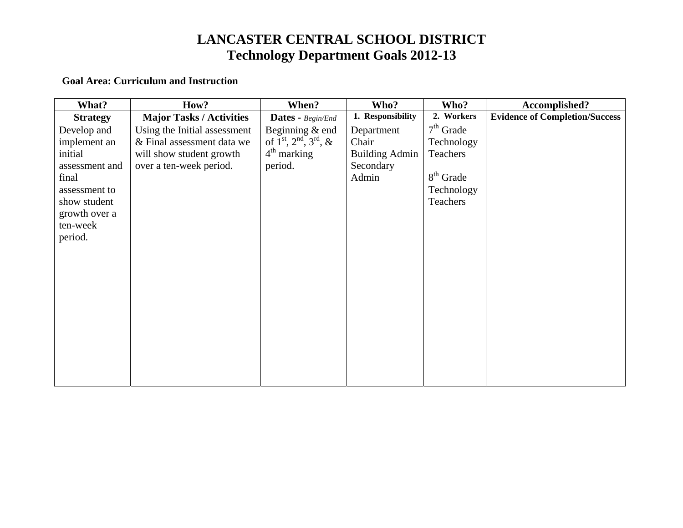#### **Goal Area: Curriculum and Instruction**

| What?           | How?                            | When?                                    | Who?                  | Who?        | Accomplished?                         |
|-----------------|---------------------------------|------------------------------------------|-----------------------|-------------|---------------------------------------|
| <b>Strategy</b> | <b>Major Tasks / Activities</b> | <b>Dates</b> - Begin/End                 | 1. Responsibility     | 2. Workers  | <b>Evidence of Completion/Success</b> |
| Develop and     | Using the Initial assessment    | Beginning $&$ end                        | Department            | $7th$ Grade |                                       |
| implement an    | & Final assessment data we      | of $1^{st}$ , $2^{nd}$ , $3^{rd}$ , $\&$ | Chair                 | Technology  |                                       |
| initial         | will show student growth        | $4th$ marking                            | <b>Building Admin</b> | Teachers    |                                       |
| assessment and  | over a ten-week period.         | period.                                  | Secondary             |             |                                       |
| final           |                                 |                                          | Admin                 | $8th$ Grade |                                       |
| assessment to   |                                 |                                          |                       | Technology  |                                       |
| show student    |                                 |                                          |                       | Teachers    |                                       |
| growth over a   |                                 |                                          |                       |             |                                       |
| ten-week        |                                 |                                          |                       |             |                                       |
| period.         |                                 |                                          |                       |             |                                       |
|                 |                                 |                                          |                       |             |                                       |
|                 |                                 |                                          |                       |             |                                       |
|                 |                                 |                                          |                       |             |                                       |
|                 |                                 |                                          |                       |             |                                       |
|                 |                                 |                                          |                       |             |                                       |
|                 |                                 |                                          |                       |             |                                       |
|                 |                                 |                                          |                       |             |                                       |
|                 |                                 |                                          |                       |             |                                       |
|                 |                                 |                                          |                       |             |                                       |
|                 |                                 |                                          |                       |             |                                       |
|                 |                                 |                                          |                       |             |                                       |
|                 |                                 |                                          |                       |             |                                       |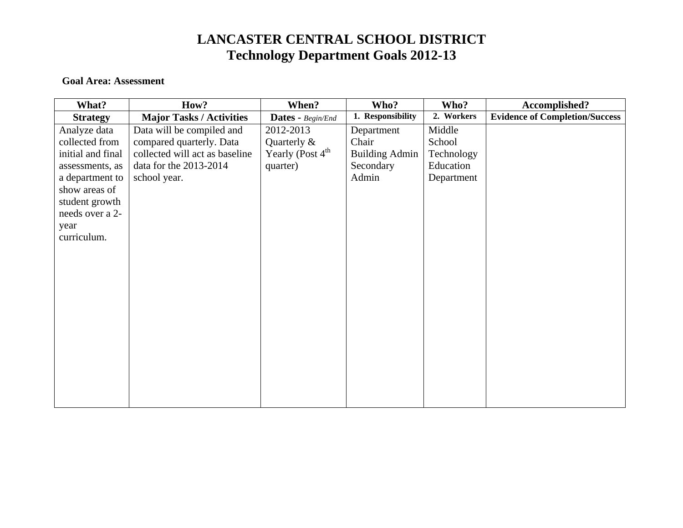#### **Goal Area: Assessment**

| What?             | How?                            | When?                          | Who?                  | Who?       | Accomplished?                         |
|-------------------|---------------------------------|--------------------------------|-----------------------|------------|---------------------------------------|
| <b>Strategy</b>   | <b>Major Tasks / Activities</b> | <b>Dates - Begin/End</b>       | 1. Responsibility     | 2. Workers | <b>Evidence of Completion/Success</b> |
| Analyze data      | Data will be compiled and       | 2012-2013                      | Department            | Middle     |                                       |
| collected from    | compared quarterly. Data        | Quarterly $\&$                 | Chair                 | School     |                                       |
| initial and final | collected will act as baseline  | Yearly (Post $4^{\text{th}}$ ) | <b>Building Admin</b> | Technology |                                       |
| assessments, as   | data for the 2013-2014          | quarter)                       | Secondary             | Education  |                                       |
| a department to   | school year.                    |                                | Admin                 | Department |                                       |
| show areas of     |                                 |                                |                       |            |                                       |
| student growth    |                                 |                                |                       |            |                                       |
| needs over a 2-   |                                 |                                |                       |            |                                       |
| year              |                                 |                                |                       |            |                                       |
| curriculum.       |                                 |                                |                       |            |                                       |
|                   |                                 |                                |                       |            |                                       |
|                   |                                 |                                |                       |            |                                       |
|                   |                                 |                                |                       |            |                                       |
|                   |                                 |                                |                       |            |                                       |
|                   |                                 |                                |                       |            |                                       |
|                   |                                 |                                |                       |            |                                       |
|                   |                                 |                                |                       |            |                                       |
|                   |                                 |                                |                       |            |                                       |
|                   |                                 |                                |                       |            |                                       |
|                   |                                 |                                |                       |            |                                       |
|                   |                                 |                                |                       |            |                                       |
|                   |                                 |                                |                       |            |                                       |
|                   |                                 |                                |                       |            |                                       |